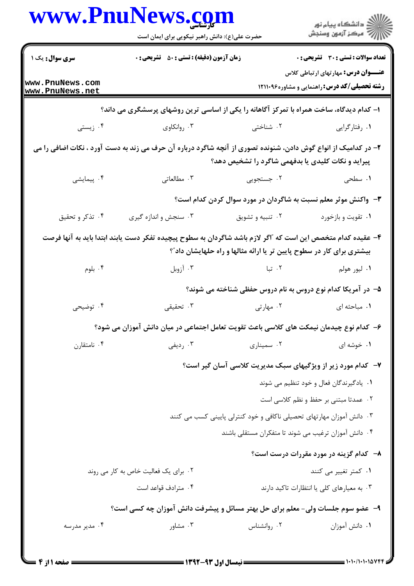|                                    | حضرت علی(ع): دانش راهبر نیکویی برای ایمان است                                                                  |                                                                        | ڪ دانشڪاه پيام نور<br>ر∕ آرمون وسنڊش                                                                 |
|------------------------------------|----------------------------------------------------------------------------------------------------------------|------------------------------------------------------------------------|------------------------------------------------------------------------------------------------------|
| <b>سری سوال :</b> یک ۱             | <b>زمان آزمون (دقیقه) : تستی : 50 ٪ تشریحی : 0</b>                                                             |                                                                        | <b>تعداد سوالات : تستی : 30 ٪ تشریحی : 0</b>                                                         |
| www.PnuNews.com<br>www.PnuNews.net |                                                                                                                |                                                                        | <b>عنــــوان درس:</b> مهار تهای ار تباطی کلاس<br><b>رشته تحصیلی/کد درس: راهنمایی و مشاوره۱۲۱۱۰۹۶</b> |
|                                    | ا– کدام دیدگاه، ساخت همراه با تمرکز آگاهانه را یکی از اساسی ترین روشهای پرسشگری می داند؟                       |                                                                        |                                                                                                      |
| ۰۴ زیستی                           | ۰۳ روانکاوی                                                                                                    | ۰۲ شناختی                                                              | ٠١ رفتارگرايي                                                                                        |
|                                    | ۲- در کدامیک از انواع گوش دادن، شنونده تصوری از آنچه شاگرد درباره آن حرف می زند به دست آورد ، نکات اضافی را می | پیراید و نکات کلیدی یا بدفهمی شاگرد را تشخیص دهد؟                      |                                                                                                      |
| ۰۴ پیمایشی                         | ۰۳ مطالعاتی                                                                                                    | ۰۲ جستجویی                                                             | ۰۱ سطحی                                                                                              |
|                                    |                                                                                                                | ۳- واکنش موثر معلم نسبت به شاگردان در مورد سوال کردن کدام است؟         |                                                                                                      |
| ۰۴ تذکر و تحقیق                    | ۰۳ سنجش و اندازه گیری                                                                                          | ۰۲ تنبیه و تشویق                                                       | ۰۱ تقویت و بازخورد                                                                                   |
|                                    | ۴– عقیده کدام متخصص این است که آاگر لازم باشد شاگردان به سطوح پیچیده تفکر دست یابند ابتدا باید به آنها فرصت    | بیشتری برای کار در سطوح پایین تر یا ارائه مثالها و راه حلهایشان داد ؒ؟ |                                                                                                      |
| ۰۴ بلوم                            | ۰۳ آزوبل                                                                                                       | ۰۲ تبا                                                                 | ۰۱ ليور هولم                                                                                         |
|                                    |                                                                                                                | ۵– در آمریکا کدام نوع دروس به نام دروس حفظی شناخته می شوند؟            |                                                                                                      |
| ۰۴ توضیحی                          | ۰۳ تحقیقی                                                                                                      | ۰۲ مهارتی                                                              | ٠١. مباحثه ای                                                                                        |
|                                    | ۶– کدام نوع چیدمان نیمکت های کلاسی باعث تقویت تعامل اجتماعی در میان دانش آموزان می شود؟                        |                                                                        |                                                                                                      |
| ۰۴ نامتقارن                        | ۰۳ رديفي                                                                                                       | ۰۲ سميناري                                                             | ۰۱ خوشه ای                                                                                           |
|                                    |                                                                                                                | ۷-۔ کدام مورد زیر از ویژگیهای سبک مدیریت کلاسی آسان گیر است؟           |                                                                                                      |
|                                    |                                                                                                                |                                                                        | ٠١. يادگيرندگان فعال و خود تنظيم مي شوند                                                             |
|                                    |                                                                                                                |                                                                        | ۰۲ عمدتا مبتنی بر حفظ و نظم کلاسی است                                                                |
|                                    |                                                                                                                | ۰۳ دانش آموزان مهارتهای تحصیلی ناکافی و خود کنترلی پایینی کسب می کنند  |                                                                                                      |
|                                    |                                                                                                                | ۰۴ دانش آموزان ترغیب می شوند تا متفکران مستقلی باشند                   |                                                                                                      |
|                                    |                                                                                                                |                                                                        | ۸- کدام گزینه در مورد مقررات درست است؟                                                               |
|                                    | ٠٢. برای یک فعالیت خاص به کار می روند                                                                          |                                                                        | ۰۱ کمتر تغییر می کنند                                                                                |
|                                    | ۰۴ مترادف قواعد است                                                                                            |                                                                        | ۰۳ به معیارهای کلی یا انتظارات تاکید دارند                                                           |
|                                    | ۹-۔ عضو سوم جلسات ولی- معلم برای حل بهتر مسائل و پیشرفت دانش آموزان چه کسی است؟                                |                                                                        |                                                                                                      |
| ۰۴ مدیر مدرسه                      | ۰۳ مشاور                                                                                                       | ۰۲ روانشناس                                                            | ٠١. دانش آموزان                                                                                      |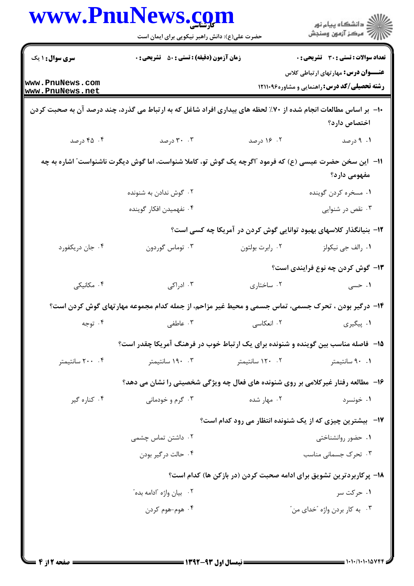| ڪ دانشڪاه پيام نور<br>ر∕ = مرڪز آزمون وسنڊش                                                          |                   | حضرت علی(ع): دانش راهبر نیکویی برای ایمان است                                                                  |                                    |
|------------------------------------------------------------------------------------------------------|-------------------|----------------------------------------------------------------------------------------------------------------|------------------------------------|
| <b>تعداد سوالات : تستي : 30 ٪ تشريحي : 0</b>                                                         |                   | <b>زمان آزمون (دقیقه) : تستی : 50 ٪ تشریحی : 0</b>                                                             | <b>سری سوال : ۱ یک</b>             |
| <b>عنــــوان درس:</b> مهار تهای ار تباطی کلاس<br><b>رشته تحصیلی/کد درس: راهنمایی و مشاوره۱۲۱۱۰۹۶</b> |                   |                                                                                                                | www.PnuNews.com<br>www.PnuNews.net |
| اختصاص دارد؟                                                                                         |                   | ۱۰- بر اساس مطالعات انجام شده از ۷۰٪ لحظه های بیداری افراد شاغل که به ارتباط می گذرد، چند درصد آن به صحبت کردن |                                    |
| ۰۱ درصد                                                                                              | ۰۲ ۱۶ درصد        | ۰.۳ درصد                                                                                                       | ۴. ۴۵ درصد                         |
| مفهومی دارد؟                                                                                         |                   | 11–   این سخن حضرت عیسی (ع) که فرمود "اگرچه یک گوش تو، کاملا شنواست، اما گوش دیگرت ناشنواست" اشاره به چه       |                                    |
| ۰۱ مسخره کردن گوینده                                                                                 |                   | ۰۲ گوش ندادن به شنونده                                                                                         |                                    |
| ۰۳ نقص در شنوایی                                                                                     |                   | ۰۴ نفهمیدن افکار گوینده                                                                                        |                                    |
| ۱۲– بنیانگذار کلاسهای بهبود توانایی گوش کردن در آمریکا چه کسی است؟                                   |                   |                                                                                                                |                                    |
| ۰۱ رالف جي نيکولز                                                                                    | ۰۲ رابرت بولتون   | ۰۳ توماس گوردون                                                                                                | ۰۴ جان دريكفورد                    |
| ۱۳– گوش کردن چه نوع فرایندی است؟                                                                     |                   |                                                                                                                |                                    |
| ۱. حسی                                                                                               | ۰۲ ساختاری        | ۰۳ ادراکی                                                                                                      | ۰۴ مکانیکی                         |
|                                                                                                      |                   | ۱۴- درگیر بودن ، تحرک جسمی، تماس جسمی و محیط غیر مزاحم، از جمله کدام مجموعه مهارتهای گوش کردن است؟             |                                    |
| ۰۱ پیگیری                                                                                            | ۰۲ انعکاسی        | ۰۳ عاطفی                                                                                                       | ۰۴ توجه                            |
|                                                                                                      |                   | ۰۱۵ ً فاصله مناسب بین گوینده و شنونده برای یک ارتباط خوب در فرهنگ آمریکا چقدر است؟                             |                                    |
| ۰۹ سانتيمتر                                                                                          | ۰۲ - ۱۲۰ سانتیمتر | ۰۳ ۱۹۰ سانتیمتر                                                                                                | ۰۴ ۲۰۰ سانتیمتر                    |
|                                                                                                      |                   | ۱۶- مطالعه رفتار غیرکلامی بر روی شنونده های فعال چه ویژگی شخصیتی را نشان می دهد؟                               |                                    |
| ۰۱ خونسرد                                                                                            | ۰۲ مهار شده       | ۰۳ گرم و خودمانی                                                                                               | ۰۴ کناره گیر                       |
| <b>۱۷</b> - بیشترین چیزی که از یک شنونده انتظار می رود کدام است؟                                     |                   |                                                                                                                |                                    |
| ۰۱ حضور روانشناختی                                                                                   |                   | ۰۲ داشتن تماس چشمی                                                                                             |                                    |
| ۰۳ تحرک جسمانی مناسب                                                                                 |                   | ۰۴ حالت در گیر بودن                                                                                            |                                    |
| ۱۸– پرکاربردترین تشویق برای ادامه صحبت کردن (در بازکن ها) کدام است؟                                  |                   |                                                                                                                |                                    |
| ۰۱ حرکت سر                                                                                           |                   | ۰۲ بيان واژه آادامه بده ً                                                                                      |                                    |
| ۰۳ به کار بردن واژه "خدای من"                                                                        |                   | ۰۴ هوم-هوم کردن                                                                                                |                                    |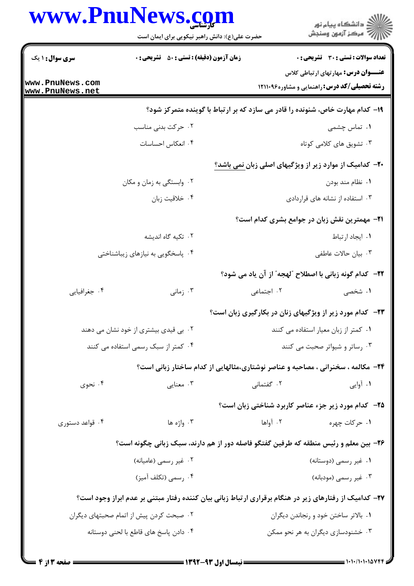|                                    | www.PnuNews.com<br>حضرت علی(ع): دانش راهبر نیکویی برای ایمان است                                       | ان دانشگاه پيام نور<br>از مرکز آزمون وسنجش                                                    |  |
|------------------------------------|--------------------------------------------------------------------------------------------------------|-----------------------------------------------------------------------------------------------|--|
| <b>سری سوال : ۱ یک</b>             | <b>زمان آزمون (دقیقه) : تستی : 50 ٪ تشریحی : 0</b>                                                     | <b>تعداد سوالات : تستي : 30 ٪ تشريحي : 0</b><br><b>عنــــوان درس:</b> مهار تهای ار تباطی کلاس |  |
| www.PnuNews.com<br>www.PnuNews.net |                                                                                                        | <b>رشته تحصیلی/کد درس: راهنمایی و مشاوره۱۲۱۱۰۹۶</b>                                           |  |
|                                    |                                                                                                        | ۱۹- کدام مهارت خاص، شنونده را قادر می سازد که بر ارتباط با گوینده متمرکز شود؟                 |  |
|                                    | ۰۲ حرکت بدنی مناسب                                                                                     | ۰۱ تماس چشمی                                                                                  |  |
|                                    | ۰۴ انعکاس احساسات                                                                                      | ۰۳ تشویق های کلامی کوتاه                                                                      |  |
|                                    |                                                                                                        | -۲- کدامیک از موارد زیر از ویژگیهای اصلی زبان نمی باشد؟                                       |  |
|                                    | ۰۲ وابستگی به زمان و مکان                                                                              | ٠١. نظام مند بودن                                                                             |  |
|                                    | ۰۴ خلاقیت زبان                                                                                         | ۰۳ استفاده از نشانه های قراردادی                                                              |  |
|                                    |                                                                                                        | <b>۲۱</b> - مهمترین نقش زبان در جوامع بشری کدام است؟                                          |  |
|                                    | ۰۲ تکیه گاه اندیشه                                                                                     | ٠١. ايجاد ارتباط                                                                              |  |
|                                    | ۰۴ پاسخگویی به نیازهای زیباشناختی                                                                      | ۰۳ بیان حالات عاطفی                                                                           |  |
|                                    |                                                                                                        | <b>٢٢</b> - كدام گونه زباني با اصطلاح "لهجه" از آن ياد مي شود؟                                |  |
| ۰۴ جغرافیایی                       | ۰۳ زمانی                                                                                               | ۰۲ اجتماعی<br>۱. شخصی                                                                         |  |
|                                    |                                                                                                        | <b>۲۳</b> - کدام مورد زیر از ویژگیهای زنان در بکارگیری زبان است؟                              |  |
|                                    | ۰۲ بی قیدی بیشتری از خود نشان می دهند                                                                  | ٠١ كمتر از زبان معيار استفاده مى كنند                                                         |  |
|                                    | ۰۴ کمتر از سبک رسمی استفاده می کنند                                                                    | ۰۳ رساتر و شیواتر صحبت می کنند                                                                |  |
|                                    |                                                                                                        | ۲۴- مکالمه ، سخنرانی ، مصاحبه و عناصر نوشتاری،مثالهایی از کدام ساختار زبانی است؟              |  |
| ۰۴ نحوی                            | ۰۳ معنایی                                                                                              | ۰۲ گفتمانی<br>۰۱ آوایی                                                                        |  |
|                                    |                                                                                                        | ۲۵-۔ کدام مورد زیر جزء عناصر کاربرد شناختی زبان است؟                                          |  |
| ۰۴ قواعد دستوری                    | ۰۳ واژه ها                                                                                             | ۰۲ آواها<br>۰۱ حرکات چهره                                                                     |  |
|                                    | ۲۶- بین معلم و رئیس منطقه که طرفین گفتگو فاصله دور از هم دارند، سبک زبانی چگونه است؟                   |                                                                                               |  |
|                                    | ۰۲ غیر رسمی (عامیانه)                                                                                  | ۰۱ غیر رسمی (دوستانه)                                                                         |  |
|                                    | ۰۴ رسمي (تكلف أميز)                                                                                    | ۰۳ غیر رسمی (مودبانه)                                                                         |  |
|                                    | ۲۷- کدامیک از رفتارهای زیر در هنگام برقراری ارتباط زبانی بیان کننده رفتار مبتنی بر عدم ابراز وجود است؟ |                                                                                               |  |
|                                    | ۰۲ صبحت کردن پیش از اتمام صحبتهای دیگران                                                               | ٠١. بالاتر ساختن خود و رنجاندن ديگران                                                         |  |
|                                    | ۰۴ دادن پاسخ های قاطع با لحنی دوستانه                                                                  | ۰۳ خشنودسازی دیگران به هر نحو ممکن                                                            |  |